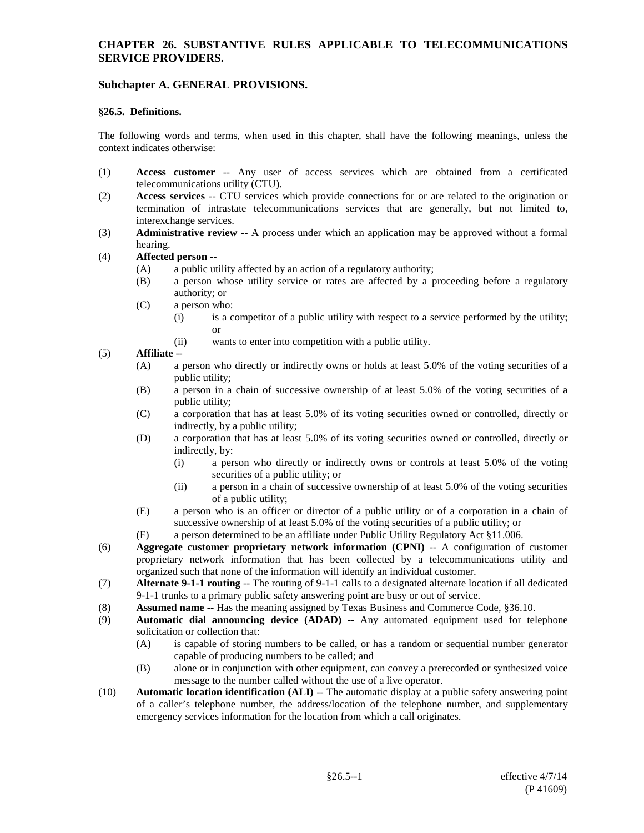# **Subchapter A. GENERAL PROVISIONS.**

#### **§26.5. Definitions.**

The following words and terms, when used in this chapter, shall have the following meanings, unless the context indicates otherwise:

- (1) **Access customer** -- Any user of access services which are obtained from a certificated telecommunications utility (CTU).
- (2) **Access services** -- CTU services which provide connections for or are related to the origination or termination of intrastate telecommunications services that are generally, but not limited to, interexchange services.
- (3) **Administrative review** -- A process under which an application may be approved without a formal hearing.

#### (4) **Affected person** --

- (A) a public utility affected by an action of a regulatory authority;
- (B) a person whose utility service or rates are affected by a proceeding before a regulatory authority; or
- (C) a person who:
	- (i) is a competitor of a public utility with respect to a service performed by the utility; or
	- (ii) wants to enter into competition with a public utility.

#### (5) **Affiliate** --

- (A) a person who directly or indirectly owns or holds at least 5.0% of the voting securities of a public utility;
- (B) a person in a chain of successive ownership of at least 5.0% of the voting securities of a public utility;
- (C) a corporation that has at least 5.0% of its voting securities owned or controlled, directly or indirectly, by a public utility;
- (D) a corporation that has at least 5.0% of its voting securities owned or controlled, directly or indirectly, by:
	- (i) a person who directly or indirectly owns or controls at least 5.0% of the voting securities of a public utility; or
	- (ii) a person in a chain of successive ownership of at least 5.0% of the voting securities of a public utility;
- (E) a person who is an officer or director of a public utility or of a corporation in a chain of successive ownership of at least 5.0% of the voting securities of a public utility; or
- (F) a person determined to be an affiliate under Public Utility Regulatory Act §11.006.
- (6) **Aggregate customer proprietary network information (CPNI)** -- A configuration of customer proprietary network information that has been collected by a telecommunications utility and organized such that none of the information will identify an individual customer.
- (7) **Alternate 9-1-1 routing** -- The routing of 9-1-1 calls to a designated alternate location if all dedicated 9-1-1 trunks to a primary public safety answering point are busy or out of service.
- (8) **Assumed name** -- Has the meaning assigned by Texas Business and Commerce Code, §36.10.
- (9) **Automatic dial announcing device (ADAD)** -- Any automated equipment used for telephone solicitation or collection that:
	- (A) is capable of storing numbers to be called, or has a random or sequential number generator capable of producing numbers to be called; and
	- (B) alone or in conjunction with other equipment, can convey a prerecorded or synthesized voice message to the number called without the use of a live operator.
- (10) **Automatic location identification (ALI)** -- The automatic display at a public safety answering point of a caller's telephone number, the address/location of the telephone number, and supplementary emergency services information for the location from which a call originates.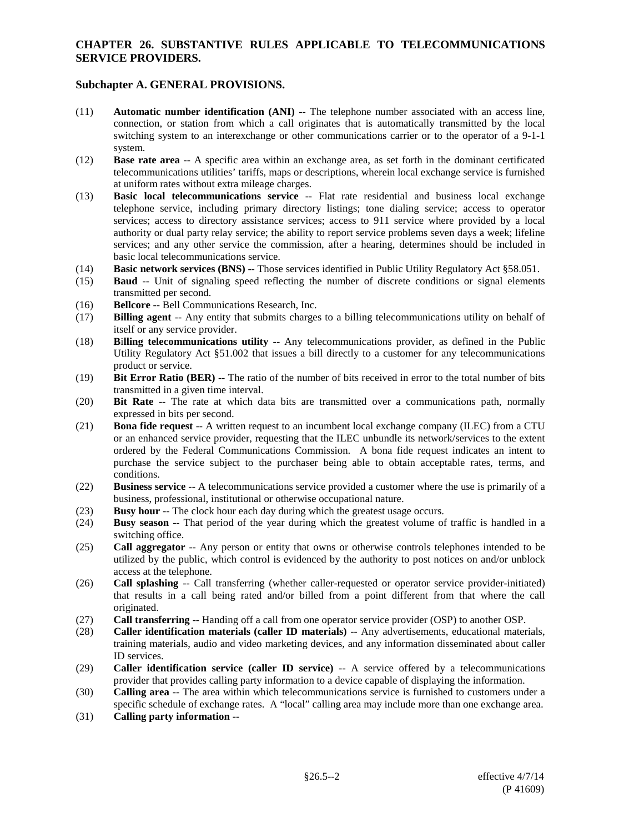- (11) **Automatic number identification (ANI)** -- The telephone number associated with an access line, connection, or station from which a call originates that is automatically transmitted by the local switching system to an interexchange or other communications carrier or to the operator of a 9-1-1 system.
- (12) **Base rate area** -- A specific area within an exchange area, as set forth in the dominant certificated telecommunications utilities' tariffs, maps or descriptions, wherein local exchange service is furnished at uniform rates without extra mileage charges.
- (13) **Basic local telecommunications service** -- Flat rate residential and business local exchange telephone service, including primary directory listings; tone dialing service; access to operator services; access to directory assistance services; access to 911 service where provided by a local authority or dual party relay service; the ability to report service problems seven days a week; lifeline services; and any other service the commission, after a hearing, determines should be included in basic local telecommunications service.
- (14) **Basic network services (BNS)** -- Those services identified in Public Utility Regulatory Act §58.051.
- (15) **Baud** -- Unit of signaling speed reflecting the number of discrete conditions or signal elements transmitted per second.
- (16) **Bellcore** -- Bell Communications Research, Inc.
- (17) **Billing agent** -- Any entity that submits charges to a billing telecommunications utility on behalf of itself or any service provider.
- (18) **B**i**lling telecommunications utility** -- Any telecommunications provider, as defined in the Public Utility Regulatory Act §51.002 that issues a bill directly to a customer for any telecommunications product or service.
- (19) **Bit Error Ratio (BER)** -- The ratio of the number of bits received in error to the total number of bits transmitted in a given time interval.
- (20) **Bit Rate** -- The rate at which data bits are transmitted over a communications path, normally expressed in bits per second.
- (21) **Bona fide request** -- A written request to an incumbent local exchange company (ILEC) from a CTU or an enhanced service provider, requesting that the ILEC unbundle its network/services to the extent ordered by the Federal Communications Commission. A bona fide request indicates an intent to purchase the service subject to the purchaser being able to obtain acceptable rates, terms, and conditions.
- (22) **Business service** -- A telecommunications service provided a customer where the use is primarily of a business, professional, institutional or otherwise occupational nature.
- (23) **Busy hour** -- The clock hour each day during which the greatest usage occurs.
- (24) **Busy season** -- That period of the year during which the greatest volume of traffic is handled in a switching office.
- (25) **Call aggregator** -- Any person or entity that owns or otherwise controls telephones intended to be utilized by the public, which control is evidenced by the authority to post notices on and/or unblock access at the telephone.
- (26) **Call splashing** -- Call transferring (whether caller-requested or operator service provider-initiated) that results in a call being rated and/or billed from a point different from that where the call originated.
- (27) **Call transferring** -- Handing off a call from one operator service provider (OSP) to another OSP.
- (28) **Caller identification materials (caller ID materials)** -- Any advertisements, educational materials, training materials, audio and video marketing devices, and any information disseminated about caller ID services.
- (29) **Caller identification service (caller ID service)** -- A service offered by a telecommunications provider that provides calling party information to a device capable of displaying the information.
- (30) **Calling area** -- The area within which telecommunications service is furnished to customers under a specific schedule of exchange rates. A "local" calling area may include more than one exchange area.
- (31) **Calling party information --**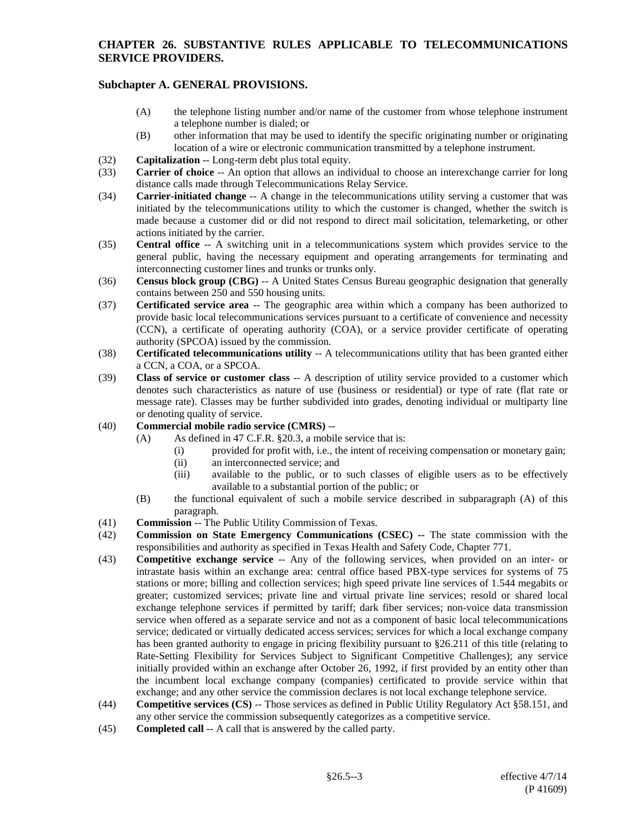- (A) the telephone listing number and/or name of the customer from whose telephone instrument a telephone number is dialed; or
- (B) other information that may be used to identify the specific originating number or originating location of a wire or electronic communication transmitted by a telephone instrument.
- (32) **Capitalization** -- Long-term debt plus total equity.
- (33) **Carrier of choice** -- An option that allows an individual to choose an interexchange carrier for long distance calls made through Telecommunications Relay Service.
- (34) **Carrier-initiated change** -- A change in the telecommunications utility serving a customer that was initiated by the telecommunications utility to which the customer is changed, whether the switch is made because a customer did or did not respond to direct mail solicitation, telemarketing, or other actions initiated by the carrier.
- (35) **Central office** -- A switching unit in a telecommunications system which provides service to the general public, having the necessary equipment and operating arrangements for terminating and interconnecting customer lines and trunks or trunks only.
- (36) **Census block group (CBG)** -- A United States Census Bureau geographic designation that generally contains between 250 and 550 housing units.
- (37) **Certificated service area** -- The geographic area within which a company has been authorized to provide basic local telecommunications services pursuant to a certificate of convenience and necessity (CCN), a certificate of operating authority (COA), or a service provider certificate of operating authority (SPCOA) issued by the commission.
- (38) **Certificated telecommunications utility** -- A telecommunications utility that has been granted either a CCN, a COA, or a SPCOA.
- (39) **Class of service or customer class** -- A description of utility service provided to a customer which denotes such characteristics as nature of use (business or residential) or type of rate (flat rate or message rate). Classes may be further subdivided into grades, denoting individual or multiparty line or denoting quality of service.
- (40) **Commercial mobile radio service (CMRS)** --
	- (A) As defined in 47 C.F.R. §20.3, a mobile service that is:
		- (i) provided for profit with, i.e., the intent of receiving compensation or monetary gain;
		- (ii) an interconnected service; and
		- (iii) available to the public, or to such classes of eligible users as to be effectively available to a substantial portion of the public; or
	- (B) the functional equivalent of such a mobile service described in subparagraph (A) of this paragraph.
- (41) **Commission** -- The Public Utility Commission of Texas.
- (42) **Commission on State Emergency Communications (CSEC) --** The state commission with the responsibilities and authority as specified in Texas Health and Safety Code, Chapter 771.
- (43) **Competitive exchange service** -- Any of the following services, when provided on an inter- or intrastate basis within an exchange area: central office based PBX-type services for systems of 75 stations or more; billing and collection services; high speed private line services of 1.544 megabits or greater; customized services; private line and virtual private line services; resold or shared local exchange telephone services if permitted by tariff; dark fiber services; non-voice data transmission service when offered as a separate service and not as a component of basic local telecommunications service; dedicated or virtually dedicated access services; services for which a local exchange company has been granted authority to engage in pricing flexibility pursuant to §26.211 of this title (relating to Rate-Setting Flexibility for Services Subject to Significant Competitive Challenges); any service initially provided within an exchange after October 26, 1992, if first provided by an entity other than the incumbent local exchange company (companies) certificated to provide service within that exchange; and any other service the commission declares is not local exchange telephone service.
- (44) **Competitive services (CS)** -- Those services as defined in Public Utility Regulatory Act §58.151, and any other service the commission subsequently categorizes as a competitive service.
- (45) **Completed call** -- A call that is answered by the called party.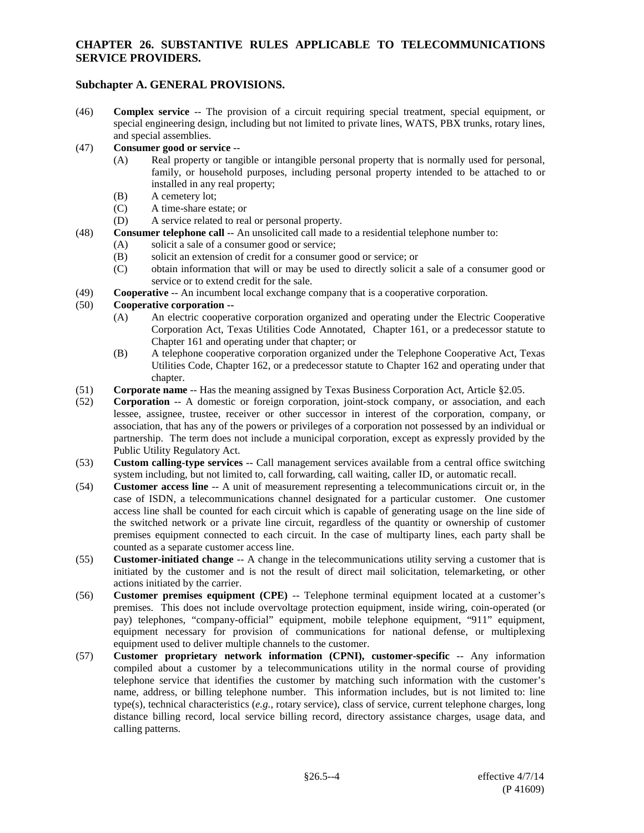# **Subchapter A. GENERAL PROVISIONS.**

(46) **Complex service** -- The provision of a circuit requiring special treatment, special equipment, or special engineering design, including but not limited to private lines, WATS, PBX trunks, rotary lines, and special assemblies.

#### (47) **Consumer good or service** --

- (A) Real property or tangible or intangible personal property that is normally used for personal, family, or household purposes, including personal property intended to be attached to or installed in any real property;
- (B) A cemetery lot;
- (C) A time-share estate; or
- (D) A service related to real or personal property.
- (48) **Consumer telephone call** -- An unsolicited call made to a residential telephone number to:
	- (A) solicit a sale of a consumer good or service;
	- (B) solicit an extension of credit for a consumer good or service; or
	- (C) obtain information that will or may be used to directly solicit a sale of a consumer good or service or to extend credit for the sale.
- (49) **Cooperative** -- An incumbent local exchange company that is a cooperative corporation.

#### (50) **Cooperative corporation --**

- (A) An electric cooperative corporation organized and operating under the Electric Cooperative Corporation Act, Texas Utilities Code Annotated, Chapter 161, or a predecessor statute to Chapter 161 and operating under that chapter; or
- (B) A telephone cooperative corporation organized under the Telephone Cooperative Act, Texas Utilities Code, Chapter 162, or a predecessor statute to Chapter 162 and operating under that chapter.
- (51) **Corporate name** -- Has the meaning assigned by Texas Business Corporation Act, Article §2.05.
- (52) **Corporation** -- A domestic or foreign corporation, joint-stock company, or association, and each lessee, assignee, trustee, receiver or other successor in interest of the corporation, company, or association, that has any of the powers or privileges of a corporation not possessed by an individual or partnership. The term does not include a municipal corporation, except as expressly provided by the Public Utility Regulatory Act.
- (53) **Custom calling-type services** -- Call management services available from a central office switching system including, but not limited to, call forwarding, call waiting, caller ID, or automatic recall.
- (54) **Customer access line** -- A unit of measurement representing a telecommunications circuit or, in the case of ISDN, a telecommunications channel designated for a particular customer. One customer access line shall be counted for each circuit which is capable of generating usage on the line side of the switched network or a private line circuit, regardless of the quantity or ownership of customer premises equipment connected to each circuit. In the case of multiparty lines, each party shall be counted as a separate customer access line.
- (55) **Customer-initiated change** -- A change in the telecommunications utility serving a customer that is initiated by the customer and is not the result of direct mail solicitation, telemarketing, or other actions initiated by the carrier.
- (56) **Customer premises equipment (CPE)** -- Telephone terminal equipment located at a customer's premises. This does not include overvoltage protection equipment, inside wiring, coin-operated (or pay) telephones, "company-official" equipment, mobile telephone equipment, "911" equipment, equipment necessary for provision of communications for national defense, or multiplexing equipment used to deliver multiple channels to the customer.
- (57) **Customer proprietary network information (CPNI), customer-specific** -- Any information compiled about a customer by a telecommunications utility in the normal course of providing telephone service that identifies the customer by matching such information with the customer's name, address, or billing telephone number. This information includes, but is not limited to: line type(s), technical characteristics (*e.g.*, rotary service), class of service, current telephone charges, long distance billing record, local service billing record, directory assistance charges, usage data, and calling patterns.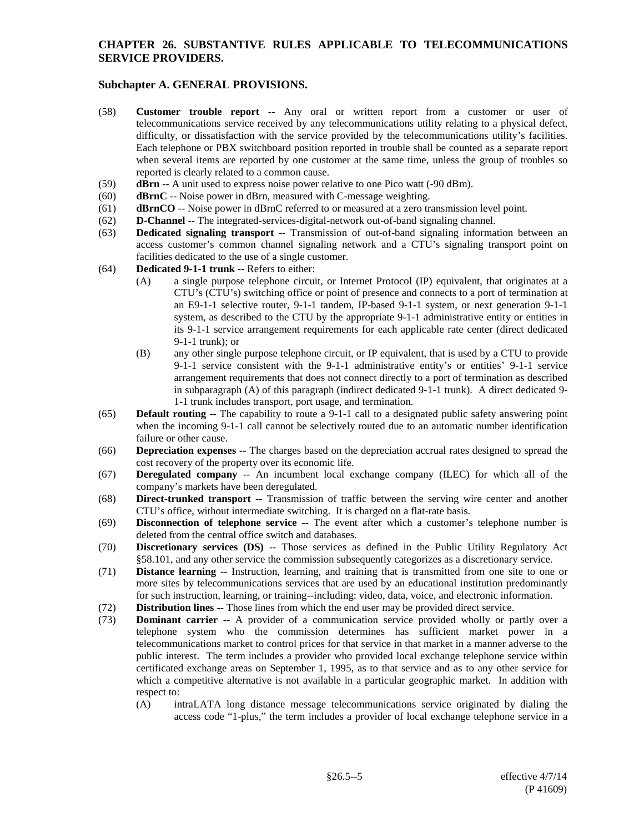- (58) **Customer trouble report** -- Any oral or written report from a customer or user of telecommunications service received by any telecommunications utility relating to a physical defect, difficulty, or dissatisfaction with the service provided by the telecommunications utility's facilities. Each telephone or PBX switchboard position reported in trouble shall be counted as a separate report when several items are reported by one customer at the same time, unless the group of troubles so reported is clearly related to a common cause.
- (59) **dBrn** -- A unit used to express noise power relative to one Pico watt (-90 dBm).
- (60) **dBrnC** -- Noise power in dBrn, measured with C-message weighting.
- (61) **dBrnCO** -- Noise power in dBrnC referred to or measured at a zero transmission level point.
- (62) **D-Channel** -- The integrated-services-digital-network out-of-band signaling channel.
- (63) **Dedicated signaling transport** -- Transmission of out-of-band signaling information between an access customer's common channel signaling network and a CTU's signaling transport point on facilities dedicated to the use of a single customer.
- (64) **Dedicated 9-1-1 trunk** -- Refers to either:
	- (A) a single purpose telephone circuit, or Internet Protocol (IP) equivalent, that originates at a CTU's (CTU's) switching office or point of presence and connects to a port of termination at an E9-1-1 selective router, 9-1-1 tandem, IP-based 9-1-1 system, or next generation 9-1-1 system, as described to the CTU by the appropriate 9-1-1 administrative entity or entities in its 9-1-1 service arrangement requirements for each applicable rate center (direct dedicated 9-1-1 trunk); or
	- (B) any other single purpose telephone circuit, or IP equivalent, that is used by a CTU to provide 9-1-1 service consistent with the 9-1-1 administrative entity's or entities' 9-1-1 service arrangement requirements that does not connect directly to a port of termination as described in subparagraph (A) of this paragraph (indirect dedicated 9-1-1 trunk). A direct dedicated 9- 1-1 trunk includes transport, port usage, and termination.
- (65) **Default routing** -- The capability to route a 9-1-1 call to a designated public safety answering point when the incoming 9-1-1 call cannot be selectively routed due to an automatic number identification failure or other cause.
- (66) **Depreciation expenses --** The charges based on the depreciation accrual rates designed to spread the cost recovery of the property over its economic life.
- (67) **Deregulated company** -- An incumbent local exchange company (ILEC) for which all of the company's markets have been deregulated.
- (68) **Direct-trunked transport** -- Transmission of traffic between the serving wire center and another CTU's office, without intermediate switching. It is charged on a flat-rate basis.
- (69) **Disconnection of telephone service** -- The event after which a customer's telephone number is deleted from the central office switch and databases.
- (70) **Discretionary services (DS)** -- Those services as defined in the Public Utility Regulatory Act §58.101, and any other service the commission subsequently categorizes as a discretionary service.
- (71) **Distance learning** -- Instruction, learning, and training that is transmitted from one site to one or more sites by telecommunications services that are used by an educational institution predominantly for such instruction, learning, or training--including: video, data, voice, and electronic information.
- (72) **Distribution lines** -- Those lines from which the end user may be provided direct service.
- (73) **Dominant carrier** -- A provider of a communication service provided wholly or partly over a telephone system who the commission determines has sufficient market power in a telecommunications market to control prices for that service in that market in a manner adverse to the public interest. The term includes a provider who provided local exchange telephone service within certificated exchange areas on September 1, 1995, as to that service and as to any other service for which a competitive alternative is not available in a particular geographic market. In addition with respect to:
	- (A) intraLATA long distance message telecommunications service originated by dialing the access code "1-plus," the term includes a provider of local exchange telephone service in a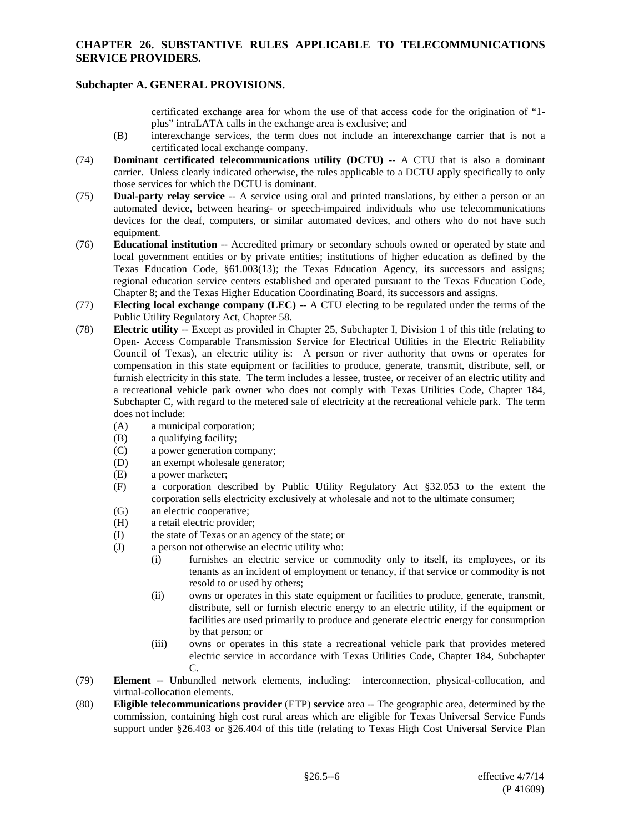# **Subchapter A. GENERAL PROVISIONS.**

certificated exchange area for whom the use of that access code for the origination of "1 plus" intraLATA calls in the exchange area is exclusive; and

- (B) interexchange services, the term does not include an interexchange carrier that is not a certificated local exchange company.
- (74) **Dominant certificated telecommunications utility (DCTU)** -- A CTU that is also a dominant carrier. Unless clearly indicated otherwise, the rules applicable to a DCTU apply specifically to only those services for which the DCTU is dominant.
- (75) **Dual-party relay service** -- A service using oral and printed translations, by either a person or an automated device, between hearing- or speech-impaired individuals who use telecommunications devices for the deaf, computers, or similar automated devices, and others who do not have such equipment.
- (76) **Educational institution** -- Accredited primary or secondary schools owned or operated by state and local government entities or by private entities; institutions of higher education as defined by the Texas Education Code, §61.003(13); the Texas Education Agency, its successors and assigns; regional education service centers established and operated pursuant to the Texas Education Code, Chapter 8; and the Texas Higher Education Coordinating Board, its successors and assigns.
- (77) **Electing local exchange company (LEC)** -- A CTU electing to be regulated under the terms of the Public Utility Regulatory Act, Chapter 58.
- (78) **Electric utility** -- Except as provided in Chapter 25, Subchapter I, Division 1 of this title (relating to Open- Access Comparable Transmission Service for Electrical Utilities in the Electric Reliability Council of Texas), an electric utility is: A person or river authority that owns or operates for compensation in this state equipment or facilities to produce, generate, transmit, distribute, sell, or furnish electricity in this state. The term includes a lessee, trustee, or receiver of an electric utility and a recreational vehicle park owner who does not comply with Texas Utilities Code, Chapter 184, Subchapter C, with regard to the metered sale of electricity at the recreational vehicle park. The term does not include:
	- (A) a municipal corporation;
	- (B) a qualifying facility;<br>(C) a power generation  $\mathbf c$
	- a power generation company;
	- (D) an exempt wholesale generator;
	- (E) a power marketer;<br>(F) a corporation des
	- a corporation described by Public Utility Regulatory Act §32.053 to the extent the corporation sells electricity exclusively at wholesale and not to the ultimate consumer;
	- (G) an electric cooperative;
	- (H) a retail electric provider;
	- (I) the state of Texas or an agency of the state; or
	- (J) a person not otherwise an electric utility who:
		- (i) furnishes an electric service or commodity only to itself, its employees, or its tenants as an incident of employment or tenancy, if that service or commodity is not resold to or used by others;
		- (ii) owns or operates in this state equipment or facilities to produce, generate, transmit, distribute, sell or furnish electric energy to an electric utility, if the equipment or facilities are used primarily to produce and generate electric energy for consumption by that person; or
		- (iii) owns or operates in this state a recreational vehicle park that provides metered electric service in accordance with Texas Utilities Code, Chapter 184, Subchapter C.
- (79) **Element** -- Unbundled network elements, including: interconnection, physical-collocation, and virtual-collocation elements.
- (80) **Eligible telecommunications provider** (ETP) **service** area -- The geographic area, determined by the commission, containing high cost rural areas which are eligible for Texas Universal Service Funds support under §26.403 or §26.404 of this title (relating to Texas High Cost Universal Service Plan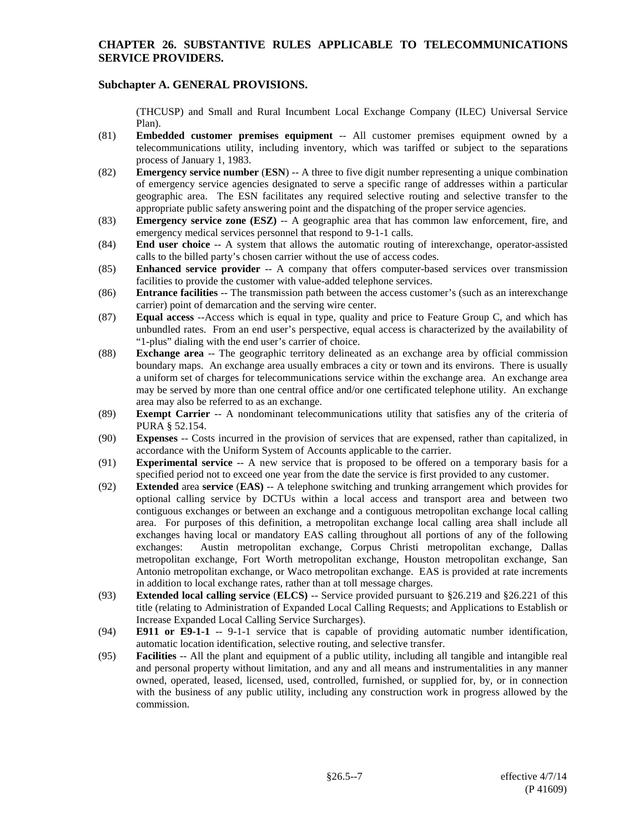# **Subchapter A. GENERAL PROVISIONS.**

(THCUSP) and Small and Rural Incumbent Local Exchange Company (ILEC) Universal Service Plan).

- (81) **Embedded customer premises equipment** -- All customer premises equipment owned by a telecommunications utility, including inventory, which was tariffed or subject to the separations process of January 1, 1983.
- (82) **Emergency service number** (**ESN**) -- A three to five digit number representing a unique combination of emergency service agencies designated to serve a specific range of addresses within a particular geographic area. The ESN facilitates any required selective routing and selective transfer to the appropriate public safety answering point and the dispatching of the proper service agencies.
- (83) **Emergency service zone (ESZ)** -- A geographic area that has common law enforcement, fire, and emergency medical services personnel that respond to 9-1-1 calls.
- (84) **End user choice** -- A system that allows the automatic routing of interexchange, operator-assisted calls to the billed party's chosen carrier without the use of access codes.
- (85) **Enhanced service provider** -- A company that offers computer-based services over transmission facilities to provide the customer with value-added telephone services.
- (86) **Entrance facilities** -- The transmission path between the access customer's (such as an interexchange carrier) point of demarcation and the serving wire center.
- (87) **Equal access** --Access which is equal in type, quality and price to Feature Group C, and which has unbundled rates. From an end user's perspective, equal access is characterized by the availability of "1-plus" dialing with the end user's carrier of choice.
- (88) **Exchange area** -- The geographic territory delineated as an exchange area by official commission boundary maps. An exchange area usually embraces a city or town and its environs. There is usually a uniform set of charges for telecommunications service within the exchange area. An exchange area may be served by more than one central office and/or one certificated telephone utility. An exchange area may also be referred to as an exchange.
- (89) **Exempt Carrier** -- A nondominant telecommunications utility that satisfies any of the criteria of PURA § 52.154.
- (90) **Expenses** -- Costs incurred in the provision of services that are expensed, rather than capitalized, in accordance with the Uniform System of Accounts applicable to the carrier.
- (91) **Experimental service** -- A new service that is proposed to be offered on a temporary basis for a specified period not to exceed one year from the date the service is first provided to any customer.
- (92) **Extended** area **service** (**EAS)** -- A telephone switching and trunking arrangement which provides for optional calling service by DCTUs within a local access and transport area and between two contiguous exchanges or between an exchange and a contiguous metropolitan exchange local calling area. For purposes of this definition, a metropolitan exchange local calling area shall include all exchanges having local or mandatory EAS calling throughout all portions of any of the following exchanges: Austin metropolitan exchange, Corpus Christi metropolitan exchange, Dallas metropolitan exchange, Fort Worth metropolitan exchange, Houston metropolitan exchange, San Antonio metropolitan exchange, or Waco metropolitan exchange. EAS is provided at rate increments in addition to local exchange rates, rather than at toll message charges.
- (93) **Extended local calling service** (**ELCS)** -- Service provided pursuant to §26.219 and §26.221 of this title (relating to Administration of Expanded Local Calling Requests; and Applications to Establish or Increase Expanded Local Calling Service Surcharges).
- (94) **E911 or E9-1-1** -- 9-1-1 service that is capable of providing automatic number identification, automatic location identification, selective routing, and selective transfer.
- (95) **Facilities** -- All the plant and equipment of a public utility, including all tangible and intangible real and personal property without limitation, and any and all means and instrumentalities in any manner owned, operated, leased, licensed, used, controlled, furnished, or supplied for, by, or in connection with the business of any public utility, including any construction work in progress allowed by the commission.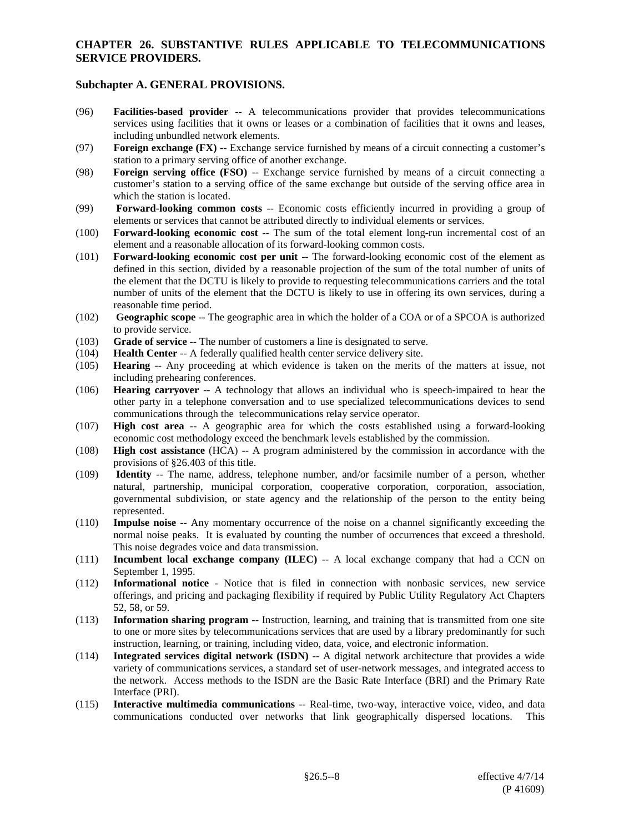- (96) **Facilities-based provider** -- A telecommunications provider that provides telecommunications services using facilities that it owns or leases or a combination of facilities that it owns and leases, including unbundled network elements.
- (97) **Foreign exchange (FX)** -- Exchange service furnished by means of a circuit connecting a customer's station to a primary serving office of another exchange.
- (98) **Foreign serving office (FSO)** -- Exchange service furnished by means of a circuit connecting a customer's station to a serving office of the same exchange but outside of the serving office area in which the station is located.
- (99) **Forward-looking common costs** -- Economic costs efficiently incurred in providing a group of elements or services that cannot be attributed directly to individual elements or services.
- (100) **Forward-looking economic cost** -- The sum of the total element long-run incremental cost of an element and a reasonable allocation of its forward-looking common costs.
- (101) **Forward-looking economic cost per unit** -- The forward-looking economic cost of the element as defined in this section, divided by a reasonable projection of the sum of the total number of units of the element that the DCTU is likely to provide to requesting telecommunications carriers and the total number of units of the element that the DCTU is likely to use in offering its own services, during a reasonable time period.
- (102) **Geographic scope** -- The geographic area in which the holder of a COA or of a SPCOA is authorized to provide service.
- (103) **Grade of service** -- The number of customers a line is designated to serve.
- (104) **Health Center** -- A federally qualified health center service delivery site.
- (105) **Hearing** -- Any proceeding at which evidence is taken on the merits of the matters at issue, not including prehearing conferences.
- (106) **Hearing carryover** -- A technology that allows an individual who is speech-impaired to hear the other party in a telephone conversation and to use specialized telecommunications devices to send communications through the telecommunications relay service operator.
- (107) **High cost area** -- A geographic area for which the costs established using a forward-looking economic cost methodology exceed the benchmark levels established by the commission.
- (108) **High cost assistance** (HCA) -- A program administered by the commission in accordance with the provisions of §26.403 of this title.
- (109) **Identity** -- The name, address, telephone number, and/or facsimile number of a person, whether natural, partnership, municipal corporation, cooperative corporation, corporation, association, governmental subdivision, or state agency and the relationship of the person to the entity being represented.
- (110) **Impulse noise** -- Any momentary occurrence of the noise on a channel significantly exceeding the normal noise peaks. It is evaluated by counting the number of occurrences that exceed a threshold. This noise degrades voice and data transmission.
- (111) **Incumbent local exchange company (ILEC)** -- A local exchange company that had a CCN on September 1, 1995.
- (112) **Informational notice** Notice that is filed in connection with nonbasic services, new service offerings, and pricing and packaging flexibility if required by Public Utility Regulatory Act Chapters 52, 58, or 59.
- (113) **Information sharing program** -- Instruction, learning, and training that is transmitted from one site to one or more sites by telecommunications services that are used by a library predominantly for such instruction, learning, or training, including video, data, voice, and electronic information.
- (114) **Integrated services digital network (ISDN)** -- A digital network architecture that provides a wide variety of communications services, a standard set of user-network messages, and integrated access to the network. Access methods to the ISDN are the Basic Rate Interface (BRI) and the Primary Rate Interface (PRI).
- (115) **Interactive multimedia communications** -- Real-time, two-way, interactive voice, video, and data communications conducted over networks that link geographically dispersed locations. This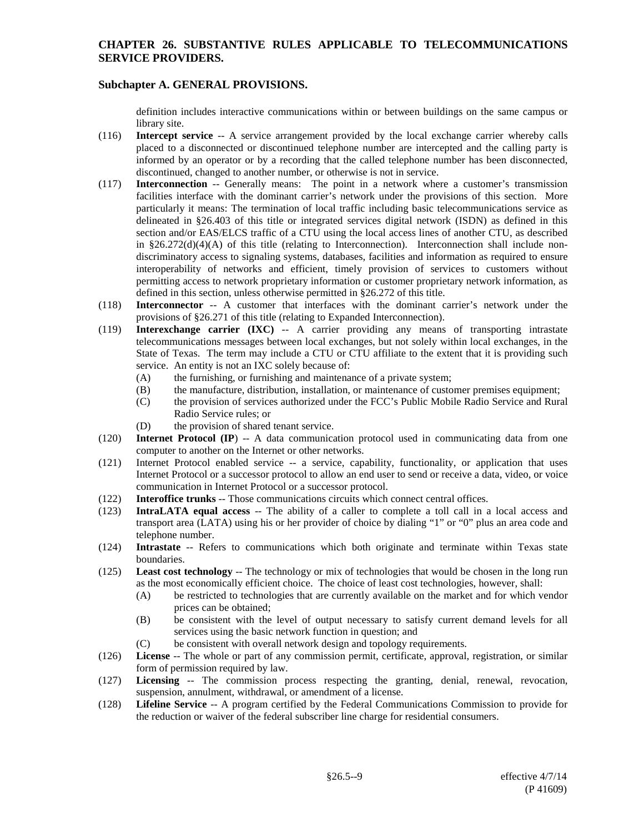## **Subchapter A. GENERAL PROVISIONS.**

definition includes interactive communications within or between buildings on the same campus or library site.

- (116) **Intercept service** -- A service arrangement provided by the local exchange carrier whereby calls placed to a disconnected or discontinued telephone number are intercepted and the calling party is informed by an operator or by a recording that the called telephone number has been disconnected, discontinued, changed to another number, or otherwise is not in service.
- (117) **Interconnection** -- Generally means: The point in a network where a customer's transmission facilities interface with the dominant carrier's network under the provisions of this section. More particularly it means: The termination of local traffic including basic telecommunications service as delineated in §26.403 of this title or integrated services digital network (ISDN) as defined in this section and/or EAS/ELCS traffic of a CTU using the local access lines of another CTU, as described in  $§26.272(d)(4)(A)$  of this title (relating to Interconnection). Interconnection shall include nondiscriminatory access to signaling systems, databases, facilities and information as required to ensure interoperability of networks and efficient, timely provision of services to customers without permitting access to network proprietary information or customer proprietary network information, as defined in this section, unless otherwise permitted in §26.272 of this title.
- (118) **Interconnector** -- A customer that interfaces with the dominant carrier's network under the provisions of §26.271 of this title (relating to Expanded Interconnection).
- (119) **Interexchange carrier (IXC)** -- A carrier providing any means of transporting intrastate telecommunications messages between local exchanges, but not solely within local exchanges, in the State of Texas. The term may include a CTU or CTU affiliate to the extent that it is providing such service. An entity is not an IXC solely because of:
	- (A) the furnishing, or furnishing and maintenance of a private system;
	- (B) the manufacture, distribution, installation, or maintenance of customer premises equipment;
	- (C) the provision of services authorized under the FCC's Public Mobile Radio Service and Rural Radio Service rules; or
	- (D) the provision of shared tenant service.
- (120) **Internet Protocol (IP**) -- A data communication protocol used in communicating data from one computer to another on the Internet or other networks.
- (121) Internet Protocol enabled service -- a service, capability, functionality, or application that uses Internet Protocol or a successor protocol to allow an end user to send or receive a data, video, or voice communication in Internet Protocol or a successor protocol.
- (122) **Interoffice trunks** -- Those communications circuits which connect central offices.
- (123) **IntraLATA equal access** -- The ability of a caller to complete a toll call in a local access and transport area (LATA) using his or her provider of choice by dialing "1" or "0" plus an area code and telephone number.
- (124) **Intrastate** -- Refers to communications which both originate and terminate within Texas state boundaries.
- (125) **Least cost technology** -- The technology or mix of technologies that would be chosen in the long run as the most economically efficient choice. The choice of least cost technologies, however, shall:
	- (A) be restricted to technologies that are currently available on the market and for which vendor prices can be obtained;
	- (B) be consistent with the level of output necessary to satisfy current demand levels for all services using the basic network function in question; and
	- (C) be consistent with overall network design and topology requirements.
- (126) **License** -- The whole or part of any commission permit, certificate, approval, registration, or similar form of permission required by law.
- (127) **Licensing** -- The commission process respecting the granting, denial, renewal, revocation, suspension, annulment, withdrawal, or amendment of a license.
- (128) **Lifeline Service** -- A program certified by the Federal Communications Commission to provide for the reduction or waiver of the federal subscriber line charge for residential consumers.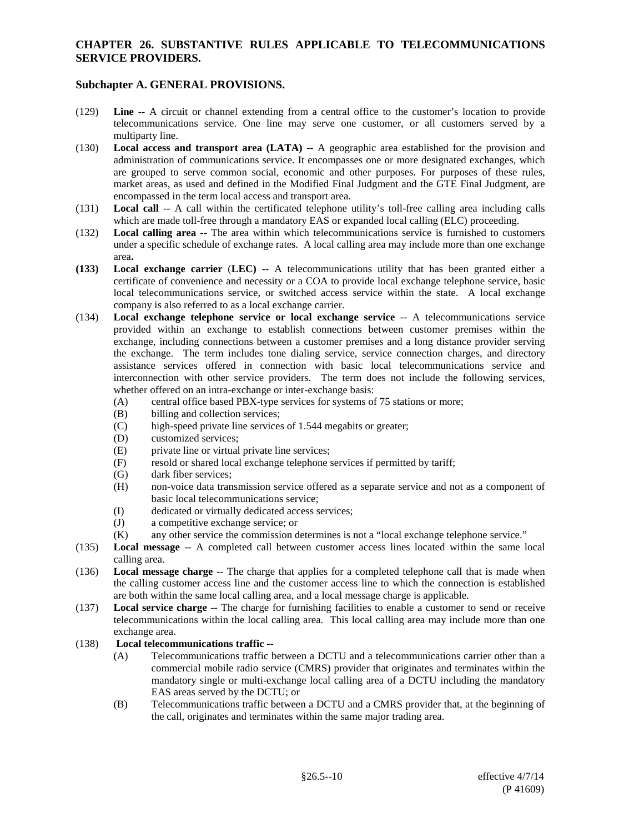## **Subchapter A. GENERAL PROVISIONS.**

- (129) **Line** -- A circuit or channel extending from a central office to the customer's location to provide telecommunications service. One line may serve one customer, or all customers served by a multiparty line.
- (130) **Local access and transport area (LATA)** -- A geographic area established for the provision and administration of communications service. It encompasses one or more designated exchanges, which are grouped to serve common social, economic and other purposes. For purposes of these rules, market areas, as used and defined in the Modified Final Judgment and the GTE Final Judgment, are encompassed in the term local access and transport area.
- (131) **Local call** -- A call within the certificated telephone utility's toll-free calling area including calls which are made toll-free through a mandatory EAS or expanded local calling (ELC) proceeding.
- (132) **Local calling area** -- The area within which telecommunications service is furnished to customers under a specific schedule of exchange rates. A local calling area may include more than one exchange area**.**
- **(133) Local exchange carrier** (**LEC)** -- A telecommunications utility that has been granted either a certificate of convenience and necessity or a COA to provide local exchange telephone service, basic local telecommunications service, or switched access service within the state. A local exchange company is also referred to as a local exchange carrier.
- (134) **Local exchange telephone service or local exchange service** -- A telecommunications service provided within an exchange to establish connections between customer premises within the exchange, including connections between a customer premises and a long distance provider serving the exchange. The term includes tone dialing service, service connection charges, and directory assistance services offered in connection with basic local telecommunications service and interconnection with other service providers. The term does not include the following services, whether offered on an intra-exchange or inter-exchange basis:
	- (A) central office based PBX-type services for systems of 75 stations or more;
	- (B) billing and collection services;
	- (C) high-speed private line services of 1.544 megabits or greater;
	- (D) customized services;<br>(E) private line or virtual
	- private line or virtual private line services;
	- (F) resold or shared local exchange telephone services if permitted by tariff;
	- (G) dark fiber services;<br>(H) non-voice data tran
	- (H) non-voice data transmission service offered as a separate service and not as a component of basic local telecommunications service;
	- (I) dedicated or virtually dedicated access services;
	- (J) a competitive exchange service; or
	- (K) any other service the commission determines is not a "local exchange telephone service."
- (135) **Local message** -- A completed call between customer access lines located within the same local calling area.
- (136) **Local message charge** -- The charge that applies for a completed telephone call that is made when the calling customer access line and the customer access line to which the connection is established are both within the same local calling area, and a local message charge is applicable.
- (137) **Local service charge** -- The charge for furnishing facilities to enable a customer to send or receive telecommunications within the local calling area. This local calling area may include more than one exchange area.

#### (138) **Local telecommunications traffic** --

- (A) Telecommunications traffic between a DCTU and a telecommunications carrier other than a commercial mobile radio service (CMRS) provider that originates and terminates within the mandatory single or multi-exchange local calling area of a DCTU including the mandatory EAS areas served by the DCTU; or
- (B) Telecommunications traffic between a DCTU and a CMRS provider that, at the beginning of the call, originates and terminates within the same major trading area.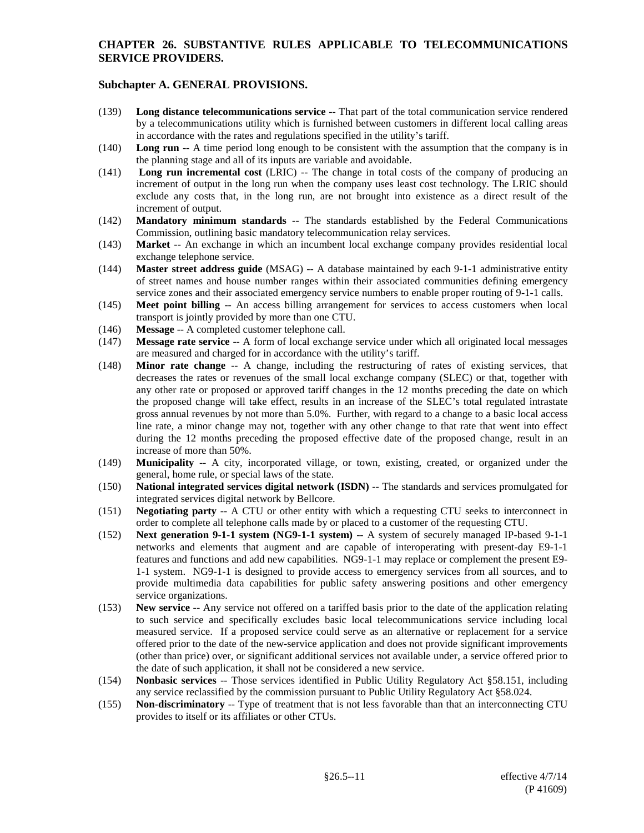- (139) **Long distance telecommunications service** -- That part of the total communication service rendered by a telecommunications utility which is furnished between customers in different local calling areas in accordance with the rates and regulations specified in the utility's tariff.
- (140) **Long run** -- A time period long enough to be consistent with the assumption that the company is in the planning stage and all of its inputs are variable and avoidable.
- (141) **Long run incremental cost** (LRIC) -- The change in total costs of the company of producing an increment of output in the long run when the company uses least cost technology. The LRIC should exclude any costs that, in the long run, are not brought into existence as a direct result of the increment of output.
- (142) **Mandatory minimum standards** -- The standards established by the Federal Communications Commission, outlining basic mandatory telecommunication relay services.
- (143) **Market** -- An exchange in which an incumbent local exchange company provides residential local exchange telephone service.
- (144) **Master street address guide** (MSAG) -- A database maintained by each 9-1-1 administrative entity of street names and house number ranges within their associated communities defining emergency service zones and their associated emergency service numbers to enable proper routing of 9-1-1 calls.
- (145) **Meet point billing** -- An access billing arrangement for services to access customers when local transport is jointly provided by more than one CTU.
- (146) **Message** -- A completed customer telephone call.
- (147) **Message rate service** -- A form of local exchange service under which all originated local messages are measured and charged for in accordance with the utility's tariff.
- (148) **Minor rate change** -- A change, including the restructuring of rates of existing services, that decreases the rates or revenues of the small local exchange company (SLEC) or that, together with any other rate or proposed or approved tariff changes in the 12 months preceding the date on which the proposed change will take effect, results in an increase of the SLEC's total regulated intrastate gross annual revenues by not more than 5.0%. Further, with regard to a change to a basic local access line rate, a minor change may not, together with any other change to that rate that went into effect during the 12 months preceding the proposed effective date of the proposed change, result in an increase of more than 50%.
- (149) **Municipality** -- A city, incorporated village, or town, existing, created, or organized under the general, home rule, or special laws of the state.
- (150) **National integrated services digital network (ISDN)** -- The standards and services promulgated for integrated services digital network by Bellcore.
- (151) **Negotiating party** -- A CTU or other entity with which a requesting CTU seeks to interconnect in order to complete all telephone calls made by or placed to a customer of the requesting CTU.
- (152) **Next generation 9-1-1 system (NG9-1-1 system)** -- A system of securely managed IP-based 9-1-1 networks and elements that augment and are capable of interoperating with present-day E9-1-1 features and functions and add new capabilities. NG9-1-1 may replace or complement the present E9- 1-1 system. NG9-1-1 is designed to provide access to emergency services from all sources, and to provide multimedia data capabilities for public safety answering positions and other emergency service organizations.
- (153) **New service** -- Any service not offered on a tariffed basis prior to the date of the application relating to such service and specifically excludes basic local telecommunications service including local measured service. If a proposed service could serve as an alternative or replacement for a service offered prior to the date of the new-service application and does not provide significant improvements (other than price) over, or significant additional services not available under, a service offered prior to the date of such application, it shall not be considered a new service.
- (154) **Nonbasic services** -- Those services identified in Public Utility Regulatory Act §58.151, including any service reclassified by the commission pursuant to Public Utility Regulatory Act §58.024.
- (155) **Non-discriminatory** -- Type of treatment that is not less favorable than that an interconnecting CTU provides to itself or its affiliates or other CTUs.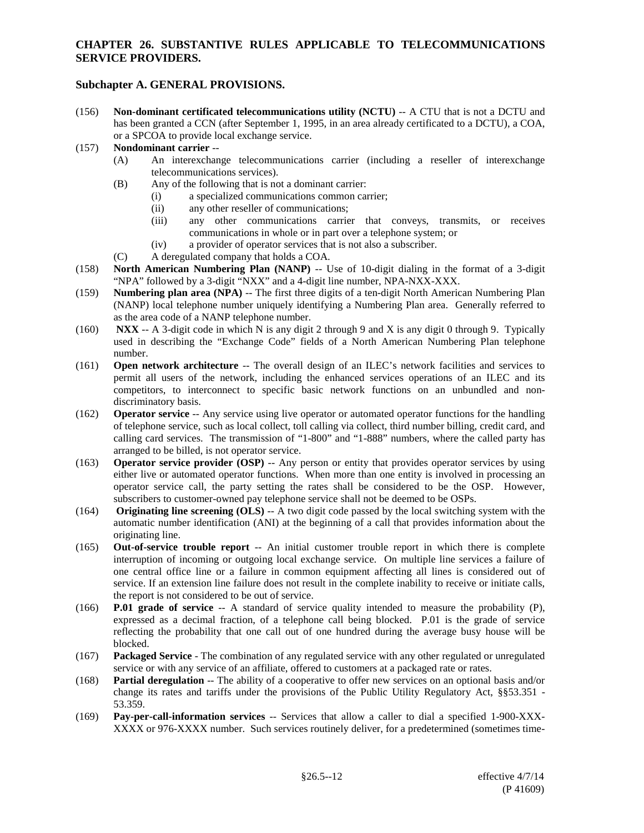# **Subchapter A. GENERAL PROVISIONS.**

(156) **Non-dominant certificated telecommunications utility (NCTU)** -- A CTU that is not a DCTU and has been granted a CCN (after September 1, 1995, in an area already certificated to a DCTU), a COA, or a SPCOA to provide local exchange service.

#### (157) **Nondominant carrier** --

- (A) An interexchange telecommunications carrier (including a reseller of interexchange telecommunications services).
- (B) Any of the following that is not a dominant carrier:
	- (i) a specialized communications common carrier;
	- (ii) any other reseller of communications;
	- (iii) any other communications carrier that conveys, transmits, or receives communications in whole or in part over a telephone system; or
	- (iv) a provider of operator services that is not also a subscriber.
- (C) A deregulated company that holds a COA.
- (158) **North American Numbering Plan (NANP)** -- Use of 10-digit dialing in the format of a 3-digit "NPA" followed by a 3-digit "NXX" and a 4-digit line number, NPA-NXX-XXX.
- (159) **Numbering plan area (NPA)** -- The first three digits of a ten-digit North American Numbering Plan (NANP) local telephone number uniquely identifying a Numbering Plan area. Generally referred to as the area code of a NANP telephone number.
- (160) **NXX** -- A 3-digit code in which N is any digit 2 through 9 and X is any digit 0 through 9. Typically used in describing the "Exchange Code" fields of a North American Numbering Plan telephone number.
- (161) **Open network architecture** -- The overall design of an ILEC's network facilities and services to permit all users of the network, including the enhanced services operations of an ILEC and its competitors, to interconnect to specific basic network functions on an unbundled and nondiscriminatory basis.
- (162) **Operator service** -- Any service using live operator or automated operator functions for the handling of telephone service, such as local collect, toll calling via collect, third number billing, credit card, and calling card services. The transmission of "1-800" and "1-888" numbers, where the called party has arranged to be billed, is not operator service.
- (163) **Operator service provider (OSP)** -- Any person or entity that provides operator services by using either live or automated operator functions. When more than one entity is involved in processing an operator service call, the party setting the rates shall be considered to be the OSP. However, subscribers to customer-owned pay telephone service shall not be deemed to be OSPs.
- (164) **Originating line screening (OLS)** -- A two digit code passed by the local switching system with the automatic number identification (ANI) at the beginning of a call that provides information about the originating line.
- (165) **Out-of-service trouble report** -- An initial customer trouble report in which there is complete interruption of incoming or outgoing local exchange service. On multiple line services a failure of one central office line or a failure in common equipment affecting all lines is considered out of service. If an extension line failure does not result in the complete inability to receive or initiate calls, the report is not considered to be out of service.
- (166) **P.01 grade of service** -- A standard of service quality intended to measure the probability (P), expressed as a decimal fraction, of a telephone call being blocked. P.01 is the grade of service reflecting the probability that one call out of one hundred during the average busy house will be blocked.
- (167) **Packaged Service** The combination of any regulated service with any other regulated or unregulated service or with any service of an affiliate, offered to customers at a packaged rate or rates.
- (168) **Partial deregulation** -- The ability of a cooperative to offer new services on an optional basis and/or change its rates and tariffs under the provisions of the Public Utility Regulatory Act, §§53.351 - 53.359.
- (169) **Pay-per-call-information services** -- Services that allow a caller to dial a specified 1-900-XXX-XXXX or 976-XXXX number. Such services routinely deliver, for a predetermined (sometimes time-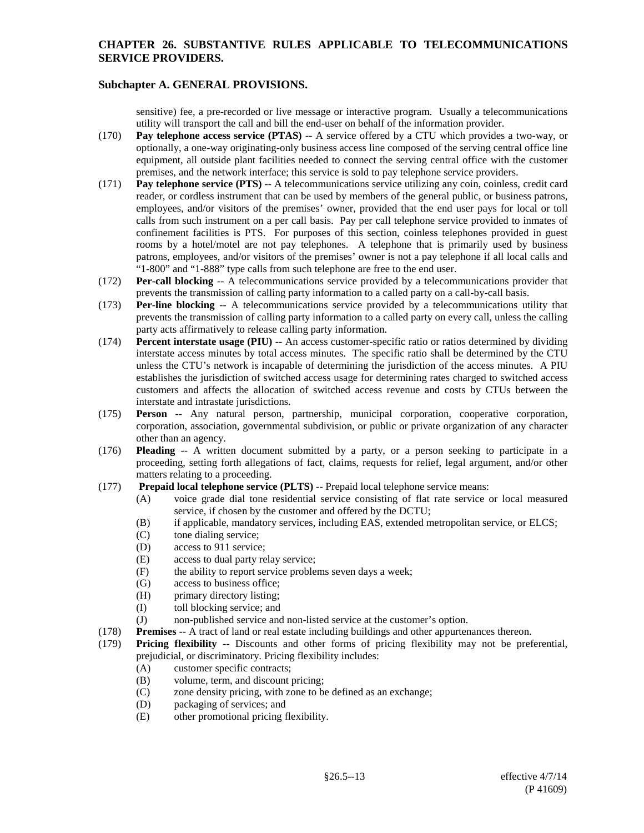# **Subchapter A. GENERAL PROVISIONS.**

sensitive) fee, a pre-recorded or live message or interactive program. Usually a telecommunications utility will transport the call and bill the end-user on behalf of the information provider.

- (170) **Pay telephone access service (PTAS)** -- A service offered by a CTU which provides a two-way, or optionally, a one-way originating-only business access line composed of the serving central office line equipment, all outside plant facilities needed to connect the serving central office with the customer premises, and the network interface; this service is sold to pay telephone service providers.
- (171) **Pay telephone service (PTS)** -- A telecommunications service utilizing any coin, coinless, credit card reader, or cordless instrument that can be used by members of the general public, or business patrons, employees, and/or visitors of the premises' owner, provided that the end user pays for local or toll calls from such instrument on a per call basis. Pay per call telephone service provided to inmates of confinement facilities is PTS. For purposes of this section, coinless telephones provided in guest rooms by a hotel/motel are not pay telephones. A telephone that is primarily used by business patrons, employees, and/or visitors of the premises' owner is not a pay telephone if all local calls and "1-800" and "1-888" type calls from such telephone are free to the end user.
- (172) **Per-call blocking** -- A telecommunications service provided by a telecommunications provider that prevents the transmission of calling party information to a called party on a call-by-call basis.
- (173) **Per-line blocking** -- A telecommunications service provided by a telecommunications utility that prevents the transmission of calling party information to a called party on every call, unless the calling party acts affirmatively to release calling party information.
- (174) **Percent interstate usage (PIU)** -- An access customer-specific ratio or ratios determined by dividing interstate access minutes by total access minutes. The specific ratio shall be determined by the CTU unless the CTU's network is incapable of determining the jurisdiction of the access minutes. A PIU establishes the jurisdiction of switched access usage for determining rates charged to switched access customers and affects the allocation of switched access revenue and costs by CTUs between the interstate and intrastate jurisdictions.
- (175) **Person** -- Any natural person, partnership, municipal corporation, cooperative corporation, corporation, association, governmental subdivision, or public or private organization of any character other than an agency.
- (176) **Pleading** -- A written document submitted by a party, or a person seeking to participate in a proceeding, setting forth allegations of fact, claims, requests for relief, legal argument, and/or other matters relating to a proceeding.
- (177) **Prepaid local telephone service (PLTS)** -- Prepaid local telephone service means:
	- (A) voice grade dial tone residential service consisting of flat rate service or local measured service, if chosen by the customer and offered by the DCTU;
	- (B) if applicable, mandatory services, including EAS, extended metropolitan service, or ELCS;
	- (C) tone dialing service;
	- (D) access to 911 service;
	- (E) access to dual party relay service;
	- (F) the ability to report service problems seven days a week;
	- (G) access to business office;<br>(H) primary directory listing;
	- primary directory listing;
	- (I) toll blocking service; and
	- (J) non-published service and non-listed service at the customer's option.
- (178) **Premises** -- A tract of land or real estate including buildings and other appurtenances thereon.
- (179) **Pricing flexibility** -- Discounts and other forms of pricing flexibility may not be preferential, prejudicial, or discriminatory. Pricing flexibility includes:
	- (A) customer specific contracts;
	- (B) volume, term, and discount pricing;
	- (C) zone density pricing, with zone to be defined as an exchange;
	- (D) packaging of services; and
	- (E) other promotional pricing flexibility.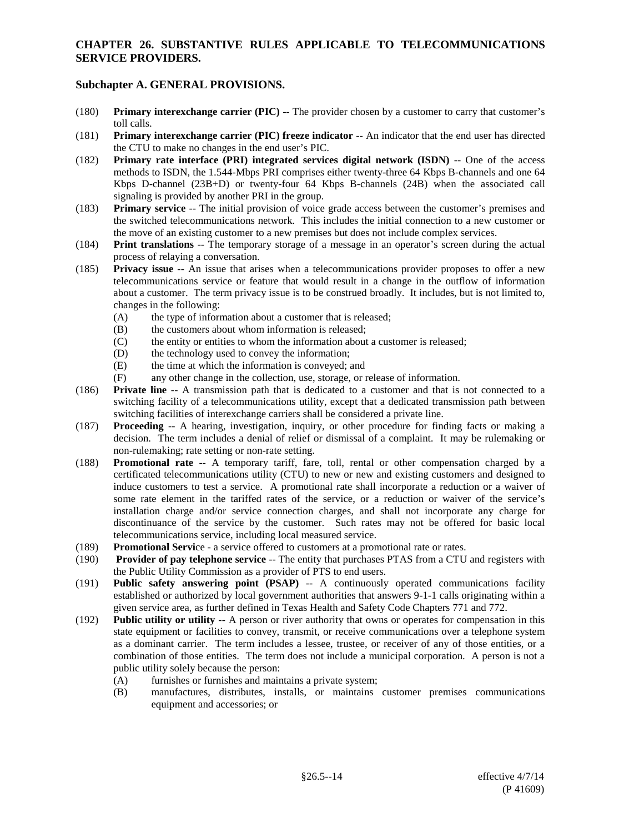- (180) **Primary interexchange carrier (PIC)** -- The provider chosen by a customer to carry that customer's toll calls.
- (181) **Primary interexchange carrier (PIC) freeze indicator** -- An indicator that the end user has directed the CTU to make no changes in the end user's PIC.
- (182) **Primary rate interface (PRI) integrated services digital network (ISDN)** -- One of the access methods to ISDN, the 1.544-Mbps PRI comprises either twenty-three 64 Kbps B-channels and one 64 Kbps D-channel (23B+D) or twenty-four 64 Kbps B-channels (24B) when the associated call signaling is provided by another PRI in the group.
- (183) **Primary service** -- The initial provision of voice grade access between the customer's premises and the switched telecommunications network. This includes the initial connection to a new customer or the move of an existing customer to a new premises but does not include complex services.
- (184) **Print translations** -- The temporary storage of a message in an operator's screen during the actual process of relaying a conversation.
- (185) **Privacy issue** -- An issue that arises when a telecommunications provider proposes to offer a new telecommunications service or feature that would result in a change in the outflow of information about a customer. The term privacy issue is to be construed broadly. It includes, but is not limited to, changes in the following:
	- (A) the type of information about a customer that is released;
	- (B) the customers about whom information is released;
	- (C) the entity or entities to whom the information about a customer is released;
	- (D) the technology used to convey the information;
	- (E) the time at which the information is conveyed; and
	- (F) any other change in the collection, use, storage, or release of information.
- (186) **Private line** -- A transmission path that is dedicated to a customer and that is not connected to a switching facility of a telecommunications utility, except that a dedicated transmission path between switching facilities of interexchange carriers shall be considered a private line.
- (187) **Proceeding** -- A hearing, investigation, inquiry, or other procedure for finding facts or making a decision. The term includes a denial of relief or dismissal of a complaint. It may be rulemaking or non-rulemaking; rate setting or non-rate setting.
- (188) **Promotional rate** -- A temporary tariff, fare, toll, rental or other compensation charged by a certificated telecommunications utility (CTU) to new or new and existing customers and designed to induce customers to test a service. A promotional rate shall incorporate a reduction or a waiver of some rate element in the tariffed rates of the service, or a reduction or waiver of the service's installation charge and/or service connection charges, and shall not incorporate any charge for discontinuance of the service by the customer. Such rates may not be offered for basic local telecommunications service, including local measured service.
- (189) **Promotional Servi**ce a service offered to customers at a promotional rate or rates.
- (190) **Provider of pay telephone service** -- The entity that purchases PTAS from a CTU and registers with the Public Utility Commission as a provider of PTS to end users.
- (191) **Public safety answering point (PSAP)** -- A continuously operated communications facility established or authorized by local government authorities that answers 9-1-1 calls originating within a given service area, as further defined in Texas Health and Safety Code Chapters 771 and 772.
- (192) **Public utility or utility** -- A person or river authority that owns or operates for compensation in this state equipment or facilities to convey, transmit, or receive communications over a telephone system as a dominant carrier. The term includes a lessee, trustee, or receiver of any of those entities, or a combination of those entities. The term does not include a municipal corporation. A person is not a public utility solely because the person:
	- (A) furnishes or furnishes and maintains a private system;
	- (B) manufactures, distributes, installs, or maintains customer premises communications equipment and accessories; or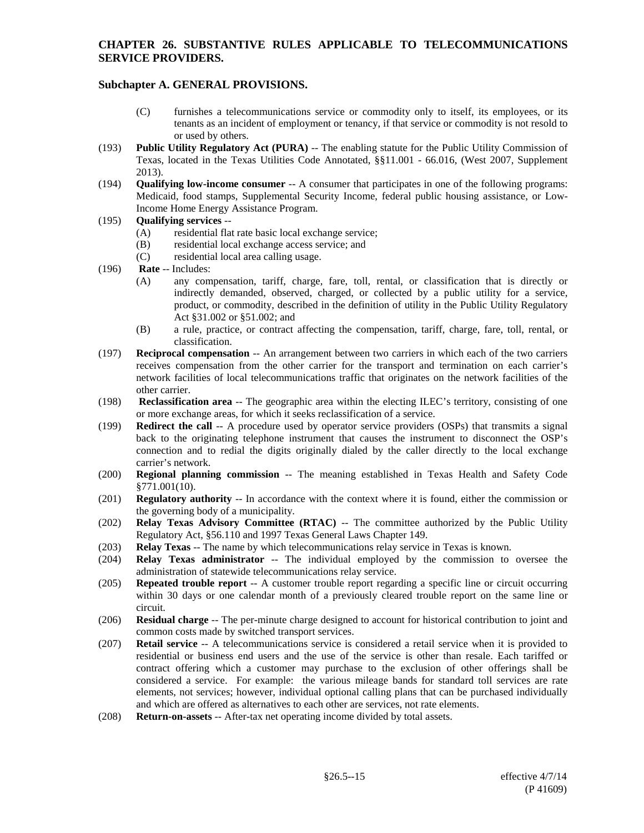- (C) furnishes a telecommunications service or commodity only to itself, its employees, or its tenants as an incident of employment or tenancy, if that service or commodity is not resold to or used by others.
- (193) **Public Utility Regulatory Act (PURA)** -- The enabling statute for the Public Utility Commission of Texas, located in the Texas Utilities Code Annotated, §§11.001 - 66.016, (West 2007, Supplement 2013).
- (194) **Qualifying low-income consumer** -- A consumer that participates in one of the following programs: Medicaid, food stamps, Supplemental Security Income, federal public housing assistance, or Low-Income Home Energy Assistance Program.
- (195) **Qualifying services** --
	- (A) residential flat rate basic local exchange service;
	- (B) residential local exchange access service; and
	- (C) residential local area calling usage.
- (196) **Rate** -- Includes:
	- (A) any compensation, tariff, charge, fare, toll, rental, or classification that is directly or indirectly demanded, observed, charged, or collected by a public utility for a service, product, or commodity, described in the definition of utility in the Public Utility Regulatory Act §31.002 or §51.002; and
	- (B) a rule, practice, or contract affecting the compensation, tariff, charge, fare, toll, rental, or classification.
- (197) **Reciprocal compensation** -- An arrangement between two carriers in which each of the two carriers receives compensation from the other carrier for the transport and termination on each carrier's network facilities of local telecommunications traffic that originates on the network facilities of the other carrier.
- (198) **Reclassification area** -- The geographic area within the electing ILEC's territory, consisting of one or more exchange areas, for which it seeks reclassification of a service.
- (199) **Redirect the call** -- A procedure used by operator service providers (OSPs) that transmits a signal back to the originating telephone instrument that causes the instrument to disconnect the OSP's connection and to redial the digits originally dialed by the caller directly to the local exchange carrier's network.
- (200) **Regional planning commission** -- The meaning established in Texas Health and Safety Code §771.001(10).
- (201) **Regulatory authority** -- In accordance with the context where it is found, either the commission or the governing body of a municipality.
- (202) **Relay Texas Advisory Committee (RTAC)** -- The committee authorized by the Public Utility Regulatory Act, §56.110 and 1997 Texas General Laws Chapter 149.
- (203) **Relay Texas** -- The name by which telecommunications relay service in Texas is known.
- (204) **Relay Texas administrator** -- The individual employed by the commission to oversee the administration of statewide telecommunications relay service.
- (205) **Repeated trouble report** -- A customer trouble report regarding a specific line or circuit occurring within 30 days or one calendar month of a previously cleared trouble report on the same line or circuit.
- (206) **Residual charge** -- The per-minute charge designed to account for historical contribution to joint and common costs made by switched transport services.
- (207) **Retail service** -- A telecommunications service is considered a retail service when it is provided to residential or business end users and the use of the service is other than resale. Each tariffed or contract offering which a customer may purchase to the exclusion of other offerings shall be considered a service. For example: the various mileage bands for standard toll services are rate elements, not services; however, individual optional calling plans that can be purchased individually and which are offered as alternatives to each other are services, not rate elements.
- (208) **Return-on-assets** -- After-tax net operating income divided by total assets.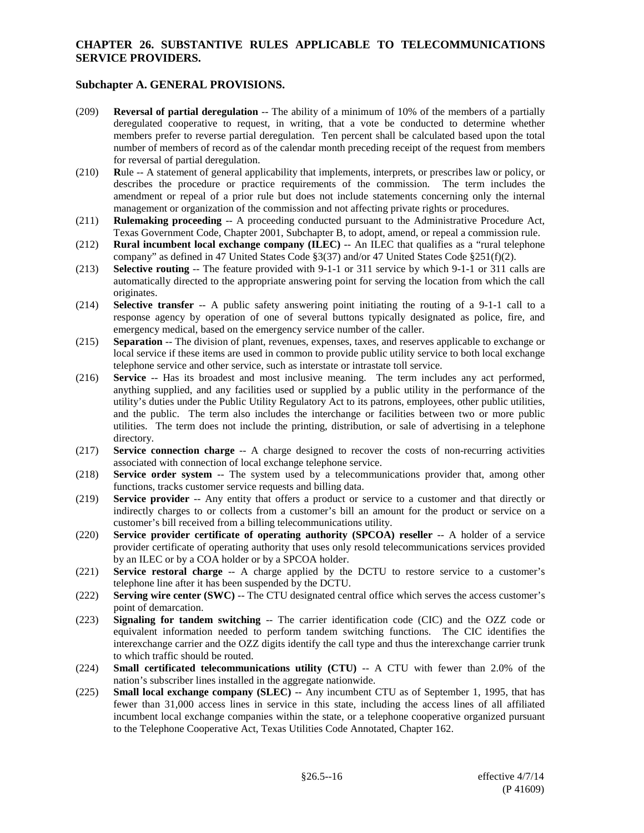- (209) **Reversal of partial deregulation** -- The ability of a minimum of 10% of the members of a partially deregulated cooperative to request, in writing, that a vote be conducted to determine whether members prefer to reverse partial deregulation. Ten percent shall be calculated based upon the total number of members of record as of the calendar month preceding receipt of the request from members for reversal of partial deregulation.
- (210) **R**ule -- A statement of general applicability that implements, interprets, or prescribes law or policy, or describes the procedure or practice requirements of the commission. The term includes the amendment or repeal of a prior rule but does not include statements concerning only the internal management or organization of the commission and not affecting private rights or procedures.
- (211) **Rulemaking proceeding** -- A proceeding conducted pursuant to the Administrative Procedure Act, Texas Government Code, Chapter 2001, Subchapter B, to adopt, amend, or repeal a commission rule.
- (212) **Rural incumbent local exchange company (ILEC)** -- An ILEC that qualifies as a "rural telephone company" as defined in 47 United States Code §3(37) and/or 47 United States Code §251(f)(2).
- (213) **Selective routing** -- The feature provided with 9-1-1 or 311 service by which 9-1-1 or 311 calls are automatically directed to the appropriate answering point for serving the location from which the call originates.
- (214) **Selective transfer** -- A public safety answering point initiating the routing of a 9-1-1 call to a response agency by operation of one of several buttons typically designated as police, fire, and emergency medical, based on the emergency service number of the caller.
- (215) **Separation** -- The division of plant, revenues, expenses, taxes, and reserves applicable to exchange or local service if these items are used in common to provide public utility service to both local exchange telephone service and other service, such as interstate or intrastate toll service.
- (216) **Service** -- Has its broadest and most inclusive meaning. The term includes any act performed, anything supplied, and any facilities used or supplied by a public utility in the performance of the utility's duties under the Public Utility Regulatory Act to its patrons, employees, other public utilities, and the public. The term also includes the interchange or facilities between two or more public utilities. The term does not include the printing, distribution, or sale of advertising in a telephone directory.
- (217) **Service connection charge** -- A charge designed to recover the costs of non-recurring activities associated with connection of local exchange telephone service.
- (218) **Service order system** -- The system used by a telecommunications provider that, among other functions, tracks customer service requests and billing data.
- (219) **Service provider** -- Any entity that offers a product or service to a customer and that directly or indirectly charges to or collects from a customer's bill an amount for the product or service on a customer's bill received from a billing telecommunications utility.
- (220) **Service provider certificate of operating authority (SPCOA) reseller** -- A holder of a service provider certificate of operating authority that uses only resold telecommunications services provided by an ILEC or by a COA holder or by a SPCOA holder.
- (221) **Service restoral charge** -- A charge applied by the DCTU to restore service to a customer's telephone line after it has been suspended by the DCTU.
- (222) **Serving wire center (SWC)** -- The CTU designated central office which serves the access customer's point of demarcation.
- (223) **Signaling for tandem switching** -- The carrier identification code (CIC) and the OZZ code or equivalent information needed to perform tandem switching functions. The CIC identifies the interexchange carrier and the OZZ digits identify the call type and thus the interexchange carrier trunk to which traffic should be routed.
- (224) **Small certificated telecommunications utility (CTU)** -- A CTU with fewer than 2.0% of the nation's subscriber lines installed in the aggregate nationwide.
- (225) **Small local exchange company (SLEC)** -- Any incumbent CTU as of September 1, 1995, that has fewer than 31,000 access lines in service in this state, including the access lines of all affiliated incumbent local exchange companies within the state, or a telephone cooperative organized pursuant to the Telephone Cooperative Act, Texas Utilities Code Annotated, Chapter 162.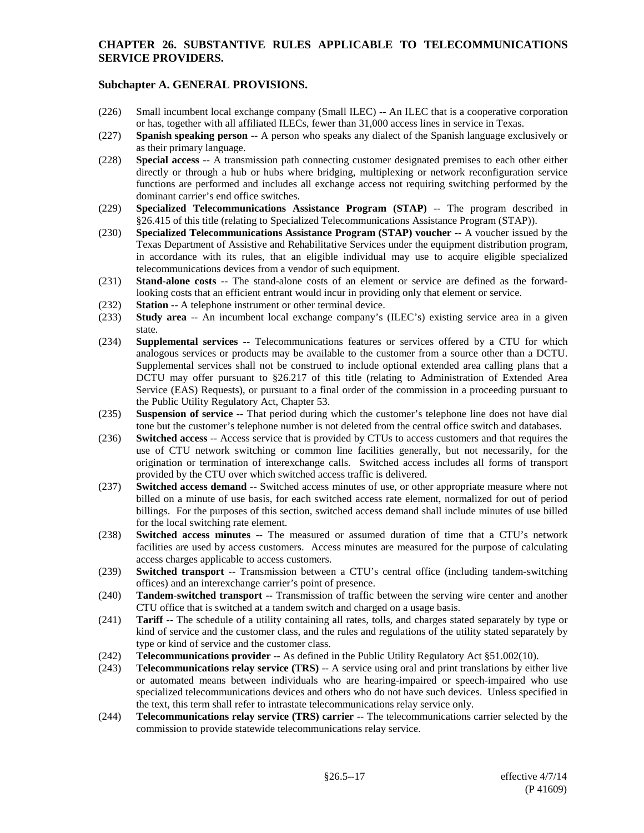- (226) Small incumbent local exchange company (Small ILEC) -- An ILEC that is a cooperative corporation or has, together with all affiliated ILECs, fewer than 31,000 access lines in service in Texas.
- (227) **Spanish speaking person --** A person who speaks any dialect of the Spanish language exclusively or as their primary language.
- (228) **Special access** -- A transmission path connecting customer designated premises to each other either directly or through a hub or hubs where bridging, multiplexing or network reconfiguration service functions are performed and includes all exchange access not requiring switching performed by the dominant carrier's end office switches.
- (229) **Specialized Telecommunications Assistance Program (STAP)** -- The program described in §26.415 of this title (relating to Specialized Telecommunications Assistance Program (STAP)).
- (230) **Specialized Telecommunications Assistance Program (STAP) voucher** -- A voucher issued by the Texas Department of Assistive and Rehabilitative Services under the equipment distribution program, in accordance with its rules, that an eligible individual may use to acquire eligible specialized telecommunications devices from a vendor of such equipment.
- (231) **Stand-alone costs** -- The stand-alone costs of an element or service are defined as the forwardlooking costs that an efficient entrant would incur in providing only that element or service.
- (232) **Station -** A telephone instrument or other terminal device.
- (233) **Study area** -- An incumbent local exchange company's (ILEC's) existing service area in a given state.
- (234) **Supplemental services** -- Telecommunications features or services offered by a CTU for which analogous services or products may be available to the customer from a source other than a DCTU. Supplemental services shall not be construed to include optional extended area calling plans that a DCTU may offer pursuant to §26.217 of this title (relating to Administration of Extended Area Service (EAS) Requests), or pursuant to a final order of the commission in a proceeding pursuant to the Public Utility Regulatory Act, Chapter 53.
- (235) **Suspension of service** -- That period during which the customer's telephone line does not have dial tone but the customer's telephone number is not deleted from the central office switch and databases.
- (236) **Switched access** -- Access service that is provided by CTUs to access customers and that requires the use of CTU network switching or common line facilities generally, but not necessarily, for the origination or termination of interexchange calls. Switched access includes all forms of transport provided by the CTU over which switched access traffic is delivered.
- (237) **Switched access demand** -- Switched access minutes of use, or other appropriate measure where not billed on a minute of use basis, for each switched access rate element, normalized for out of period billings. For the purposes of this section, switched access demand shall include minutes of use billed for the local switching rate element.
- (238) **Switched access minutes** -- The measured or assumed duration of time that a CTU's network facilities are used by access customers. Access minutes are measured for the purpose of calculating access charges applicable to access customers.
- (239) **Switched transport** -- Transmission between a CTU's central office (including tandem-switching offices) and an interexchange carrier's point of presence.
- (240) **Tandem**-**switched transport --** Transmission of traffic between the serving wire center and another CTU office that is switched at a tandem switch and charged on a usage basis.
- (241) **Tariff** -- The schedule of a utility containing all rates, tolls, and charges stated separately by type or kind of service and the customer class, and the rules and regulations of the utility stated separately by type or kind of service and the customer class.
- (242) **Telecommunications provider** -- As defined in the Public Utility Regulatory Act §51.002(10).
- (243) **Telecommunications relay service (TRS)** -- A service using oral and print translations by either live or automated means between individuals who are hearing-impaired or speech-impaired who use specialized telecommunications devices and others who do not have such devices. Unless specified in the text, this term shall refer to intrastate telecommunications relay service only.
- (244) **Telecommunications relay service (TRS) carrier** -- The telecommunications carrier selected by the commission to provide statewide telecommunications relay service.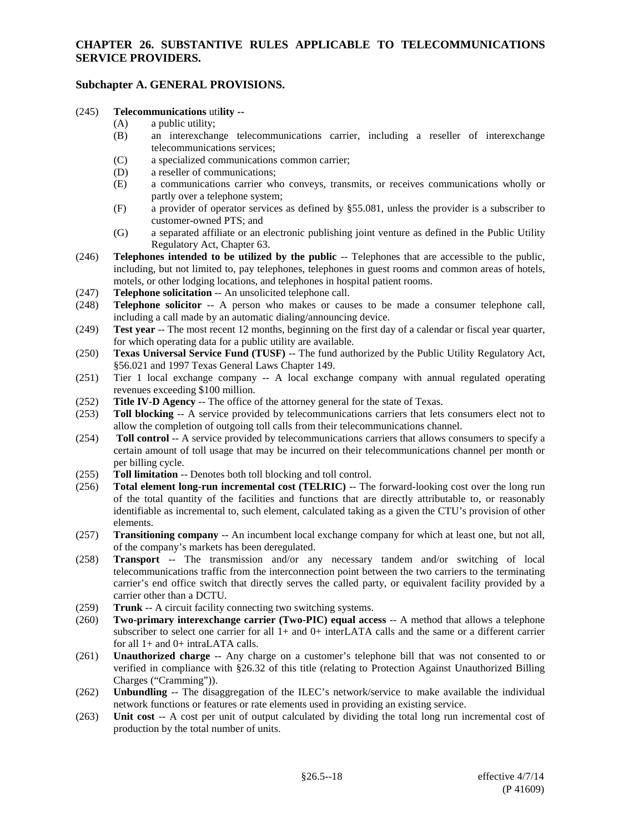# **Subchapter A. GENERAL PROVISIONS.**

# (245) **Telecommunications** uti**lity --**

- a public utility;
- (B) an interexchange telecommunications carrier, including a reseller of interexchange telecommunications services;
- (C) a specialized communications common carrier;
- (D) a reseller of communications;
- (E) a communications carrier who conveys, transmits, or receives communications wholly or partly over a telephone system;
- (F) a provider of operator services as defined by §55.081, unless the provider is a subscriber to customer-owned PTS; and
- (G) a separated affiliate or an electronic publishing joint venture as defined in the Public Utility Regulatory Act, Chapter 63.
- (246) **Telephones intended to be utilized by the public** -- Telephones that are accessible to the public, including, but not limited to, pay telephones, telephones in guest rooms and common areas of hotels, motels, or other lodging locations, and telephones in hospital patient rooms.
- (247) **Telephone solicitation** -- An unsolicited telephone call.
- (248) **Telephone solicitor** -- A person who makes or causes to be made a consumer telephone call, including a call made by an automatic dialing/announcing device.
- (249) **Test year** -- The most recent 12 months, beginning on the first day of a calendar or fiscal year quarter, for which operating data for a public utility are available.
- (250) **Texas Universal Service Fund (TUSF)** -- The fund authorized by the Public Utility Regulatory Act, §56.021 and 1997 Texas General Laws Chapter 149.
- (251) Tier 1 local exchange company -- A local exchange company with annual regulated operating revenues exceeding \$100 million.
- (252) **Title IV-D Agency** -- The office of the attorney general for the state of Texas.
- (253) **Toll blocking** -- A service provided by telecommunications carriers that lets consumers elect not to allow the completion of outgoing toll calls from their telecommunications channel.
- (254) **Toll control** -- A service provided by telecommunications carriers that allows consumers to specify a certain amount of toll usage that may be incurred on their telecommunications channel per month or per billing cycle.
- (255) **Toll limitation** -- Denotes both toll blocking and toll control.<br>(256) **Total element long-run incremental cost (TELRIC)** -- The
- (256) **Total element long-run incremental cost (TELRIC)** -- The forward-looking cost over the long run of the total quantity of the facilities and functions that are directly attributable to, or reasonably identifiable as incremental to, such element, calculated taking as a given the CTU's provision of other elements.
- (257) **Transitioning company** -- An incumbent local exchange company for which at least one, but not all, of the company's markets has been deregulated.
- (258) **Transport** -- The transmission and/or any necessary tandem and/or switching of local telecommunications traffic from the interconnection point between the two carriers to the terminating carrier's end office switch that directly serves the called party, or equivalent facility provided by a carrier other than a DCTU.
- (259) **Trunk** -- A circuit facility connecting two switching systems.
- (260) **Two-primary interexchange carrier (Two-PIC) equal access** -- A method that allows a telephone subscriber to select one carrier for all 1+ and 0+ interLATA calls and the same or a different carrier for all 1+ and 0+ intraLATA calls.
- (261) **Unauthorized charge** -- Any charge on a customer's telephone bill that was not consented to or verified in compliance with §26.32 of this title (relating to Protection Against Unauthorized Billing Charges ("Cramming")).
- (262) **Unbundling** -- The disaggregation of the ILEC's network/service to make available the individual network functions or features or rate elements used in providing an existing service.
- (263) **Unit cost** -- A cost per unit of output calculated by dividing the total long run incremental cost of production by the total number of units.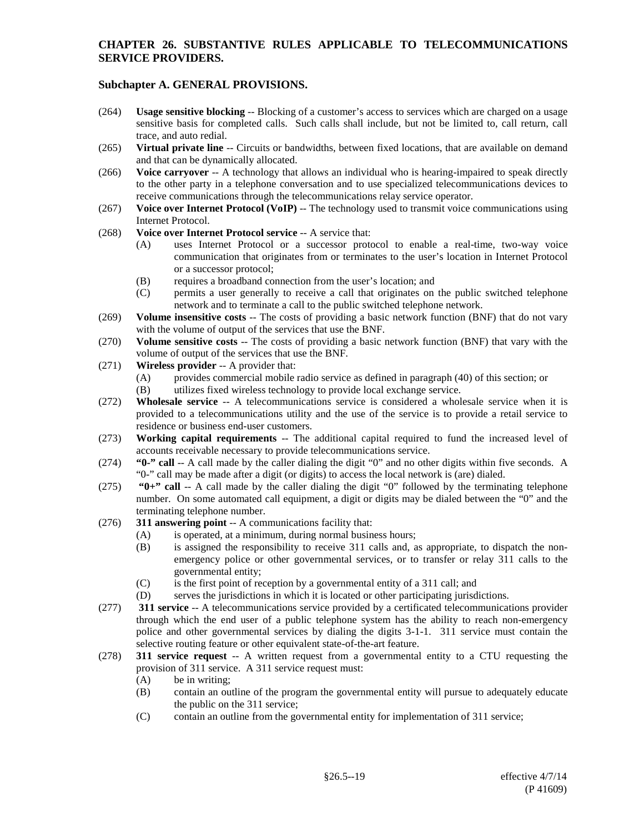- (264) **Usage sensitive blocking** -- Blocking of a customer's access to services which are charged on a usage sensitive basis for completed calls. Such calls shall include, but not be limited to, call return, call trace, and auto redial.
- (265) **Virtual private line** -- Circuits or bandwidths, between fixed locations, that are available on demand and that can be dynamically allocated.
- (266) **Voice carryover** -- A technology that allows an individual who is hearing-impaired to speak directly to the other party in a telephone conversation and to use specialized telecommunications devices to receive communications through the telecommunications relay service operator.
- (267) **Voice over Internet Protocol (VoIP)** -- The technology used to transmit voice communications using Internet Protocol.
- (268) **Voice over Internet Protocol service** -- A service that:
	- (A) uses Internet Protocol or a successor protocol to enable a real-time, two-way voice communication that originates from or terminates to the user's location in Internet Protocol or a successor protocol;
	- (B) requires a broadband connection from the user's location; and
	- (C) permits a user generally to receive a call that originates on the public switched telephone network and to terminate a call to the public switched telephone network.
- (269) **Volume insensitive costs** -- The costs of providing a basic network function (BNF) that do not vary with the volume of output of the services that use the BNF.
- (270) **Volume sensitive costs** -- The costs of providing a basic network function (BNF) that vary with the volume of output of the services that use the BNF.
- (271) **Wireless provider** -- A provider that:
	- (A) provides commercial mobile radio service as defined in paragraph (40) of this section; or
	- (B) utilizes fixed wireless technology to provide local exchange service.
- (272) **Wholesale service** -- A telecommunications service is considered a wholesale service when it is provided to a telecommunications utility and the use of the service is to provide a retail service to residence or business end-user customers.
- (273) **Working capital requirements** -- The additional capital required to fund the increased level of accounts receivable necessary to provide telecommunications service.
- (274) **"0-" call** -- A call made by the caller dialing the digit "0" and no other digits within five seconds. A "0-" call may be made after a digit (or digits) to access the local network is (are) dialed.
- (275) **"0+" call** -- A call made by the caller dialing the digit "0" followed by the terminating telephone number. On some automated call equipment, a digit or digits may be dialed between the "0" and the terminating telephone number.
- (276) **311 answering point** -- A communications facility that:
	- (A) is operated, at a minimum, during normal business hours;
	- (B) is assigned the responsibility to receive 311 calls and, as appropriate, to dispatch the nonemergency police or other governmental services, or to transfer or relay 311 calls to the governmental entity;
	- (C) is the first point of reception by a governmental entity of a 311 call; and
	- (D) serves the jurisdictions in which it is located or other participating jurisdictions.
- (277) **311 service** -- A telecommunications service provided by a certificated telecommunications provider through which the end user of a public telephone system has the ability to reach non-emergency police and other governmental services by dialing the digits 3-1-1. 311 service must contain the selective routing feature or other equivalent state-of-the-art feature.
- (278) **311 service request** -- A written request from a governmental entity to a CTU requesting the provision of 311 service. A 311 service request must:
	- (A) be in writing;
	- (B) contain an outline of the program the governmental entity will pursue to adequately educate the public on the 311 service;
	- (C) contain an outline from the governmental entity for implementation of 311 service;